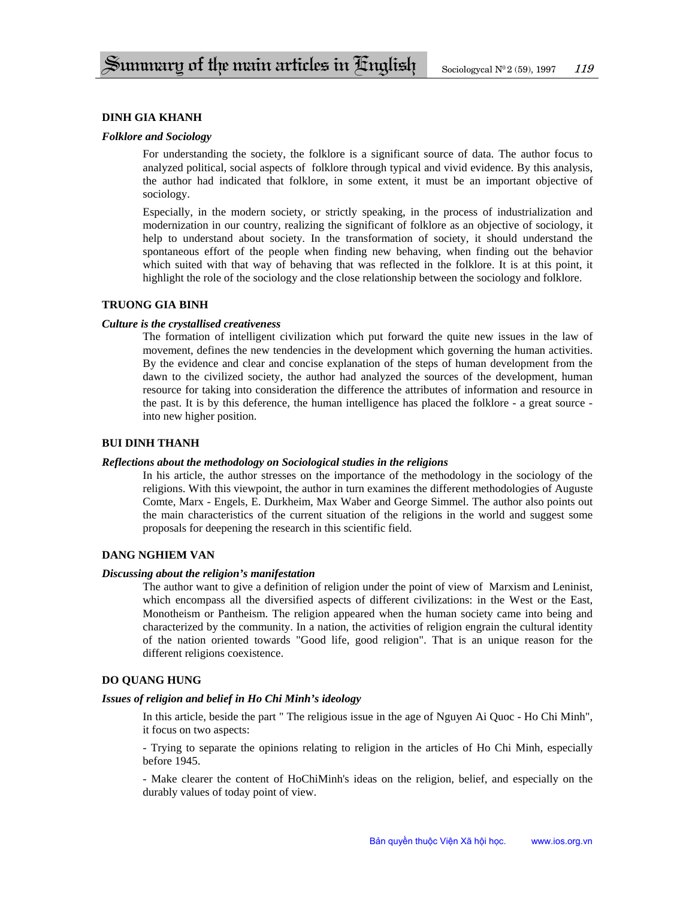## **DINH GIA KHANH**

## *Folklore and Sociology*

For understanding the society, the folklore is a significant source of data. The author focus to analyzed political, social aspects of folklore through typical and vivid evidence. By this analysis, the author had indicated that folklore, in some extent, it must be an important objective of sociology.

Especially, in the modern society, or strictly speaking, in the process of industrialization and modernization in our country, realizing the significant of folklore as an objective of sociology, it help to understand about society. In the transformation of society, it should understand the spontaneous effort of the people when finding new behaving, when finding out the behavior which suited with that way of behaving that was reflected in the folklore. It is at this point, it highlight the role of the sociology and the close relationship between the sociology and folklore.

## **TRUONG GIA BINH**

### *Culture is the crystallised creativeness*

The formation of intelligent civilization which put forward the quite new issues in the law of movement, defines the new tendencies in the development which governing the human activities. By the evidence and clear and concise explanation of the steps of human development from the dawn to the civilized society, the author had analyzed the sources of the development, human resource for taking into consideration the difference the attributes of information and resource in the past. It is by this deference, the human intelligence has placed the folklore - a great source into new higher position.

## **BUI DINH THANH**

### *Reflections about the methodology on Sociological studies in the religions*

In his article, the author stresses on the importance of the methodology in the sociology of the religions. With this viewpoint, the author in turn examines the different methodologies of Auguste Comte, Marx - Engels, E. Durkheim, Max Waber and George Simmel. The author also points out the main characteristics of the current situation of the religions in the world and suggest some proposals for deepening the research in this scientific field.

## **DANG NGHIEM VAN**

#### *Discussing about the religion's manifestation*

The author want to give a definition of religion under the point of view of Marxism and Leninist, which encompass all the diversified aspects of different civilizations: in the West or the East, Monotheism or Pantheism. The religion appeared when the human society came into being and characterized by the community. In a nation, the activities of religion engrain the cultural identity of the nation oriented towards "Good life, good religion". That is an unique reason for the different religions coexistence.

# **DO QUANG HUNG**

### *Issues of religion and belief in Ho Chi Minh's ideology*

In this article, beside the part " The religious issue in the age of Nguyen Ai Quoc - Ho Chi Minh", it focus on two aspects:

- Trying to separate the opinions relating to religion in the articles of Ho Chi Minh, especially before 1945.

- Make clearer the content of HoChiMinh's ideas on the religion, belief, and especially on the durably values of today point of view.